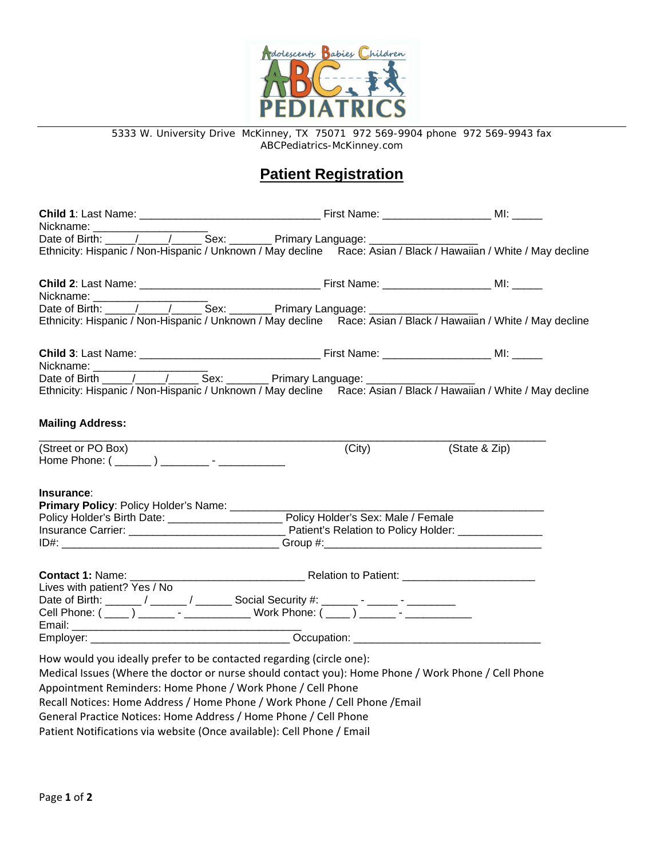

5333 W. University Drive McKinney, TX 75071 972 569-9904 phone 972 569-9943 fax ABCPediatrics-McKinney.com

# **Patient Registration**

| Ethnicity: Hispanic / Non-Hispanic / Unknown / May decline Race: Asian / Black / Hawaiian / White / May decline |  |        |               |  |
|-----------------------------------------------------------------------------------------------------------------|--|--------|---------------|--|
|                                                                                                                 |  |        |               |  |
| Nickname: ______________________                                                                                |  |        |               |  |
|                                                                                                                 |  |        |               |  |
| Ethnicity: Hispanic / Non-Hispanic / Unknown / May decline Race: Asian / Black / Hawaiian / White / May decline |  |        |               |  |
| Nickname: __________                                                                                            |  |        |               |  |
|                                                                                                                 |  |        |               |  |
| Ethnicity: Hispanic / Non-Hispanic / Unknown / May decline Race: Asian / Black / Hawaiian / White / May decline |  |        |               |  |
|                                                                                                                 |  |        |               |  |
| <b>Mailing Address:</b>                                                                                         |  |        |               |  |
| (Street or PO Box)                                                                                              |  | (City) | (State & Zip) |  |
| Home Phone: ( <u>______</u> ) ________ - ____________                                                           |  |        |               |  |
|                                                                                                                 |  |        |               |  |
| Insurance:                                                                                                      |  |        |               |  |
| Primary Policy: Policy Holder's Name: ____________                                                              |  |        |               |  |
|                                                                                                                 |  |        |               |  |
|                                                                                                                 |  |        |               |  |
|                                                                                                                 |  |        |               |  |
|                                                                                                                 |  |        |               |  |
|                                                                                                                 |  |        |               |  |
| Lives with patient? Yes / No                                                                                    |  |        |               |  |
| Date of Birth: ______/ _____/ _________ Social Security #: _______ - ______ - ________                          |  |        |               |  |
| Cell Phone: ( ____ ) _______ - ______________ Work Phone: ( ____ ) ______ - ___________                         |  |        |               |  |
|                                                                                                                 |  |        |               |  |
|                                                                                                                 |  |        |               |  |
|                                                                                                                 |  |        |               |  |
| How would you ideally prefer to be contacted regarding (circle one):                                            |  |        |               |  |
| Medical Issues (Where the doctor or nurse should contact you): Home Phone / Work Phone / Cell Phone             |  |        |               |  |
| Appointment Reminders: Home Phone / Work Phone / Cell Phone                                                     |  |        |               |  |
| Recall Notices: Home Address / Home Phone / Work Phone / Cell Phone / Email                                     |  |        |               |  |

General Practice Notices: Home Address / Home Phone / Cell Phone

Patient Notifications via website (Once available): Cell Phone / Email